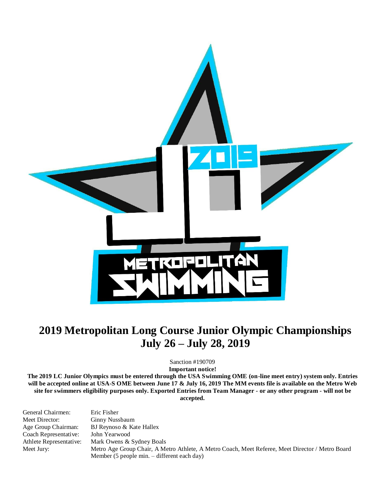

# **2019 Metropolitan Long Course Junior Olympic Championships July 26 – July 28, 2019**

Sanction #190709

**Important notice!** 

**The 2019 LC Junior Olympics must be entered through the USA Swimming OME (on-line meet entry) system only. Entries will be accepted online at USA-S OME between June 17 & July 16, 2019 The MM events file is available on the Metro Web site for swimmers eligibility purposes only. Exported Entries from Team Manager - or any other program - will not be accepted.**

| General Chairmen:       | Eric Fisher                                                                                      |
|-------------------------|--------------------------------------------------------------------------------------------------|
| Meet Director:          | Ginny Nussbaum                                                                                   |
| Age Group Chairman:     | BJ Reynoso & Kate Hallex                                                                         |
| Coach Representative:   | John Yearwood                                                                                    |
| Athlete Representative: | Mark Owens & Sydney Boals                                                                        |
| Meet Jury:              | Metro Age Group Chair, A Metro Athlete, A Metro Coach, Meet Referee, Meet Director / Metro Board |
|                         | Member (5 people min. – different each day)                                                      |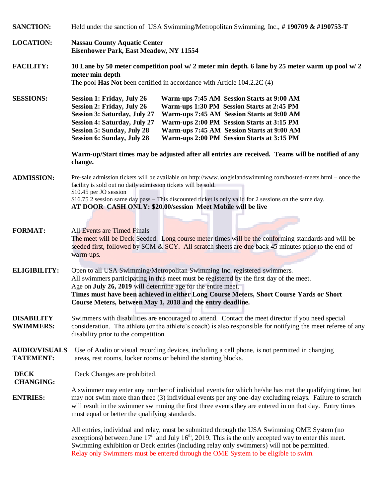| <b>SANCTION:</b>                         | Held under the sanction of USA Swimming/Metropolitan Swimming, Inc., #190709 & #190753-T                                                                                                                                                                                                                                                                                                                                                                                                                           |  |  |  |  |  |  |  |
|------------------------------------------|--------------------------------------------------------------------------------------------------------------------------------------------------------------------------------------------------------------------------------------------------------------------------------------------------------------------------------------------------------------------------------------------------------------------------------------------------------------------------------------------------------------------|--|--|--|--|--|--|--|
| <b>LOCATION:</b>                         | <b>Nassau County Aquatic Center</b><br><b>Eisenhower Park, East Meadow, NY 11554</b>                                                                                                                                                                                                                                                                                                                                                                                                                               |  |  |  |  |  |  |  |
| <b>FACILITY:</b>                         | 10 Lane by 50 meter competition pool w/ 2 meter min depth. 6 lane by 25 meter warm up pool w/ 2<br>meter min depth<br>The pool Has Not been certified in accordance with Article 104.2.2C (4)                                                                                                                                                                                                                                                                                                                      |  |  |  |  |  |  |  |
| <b>SESSIONS:</b>                         | <b>Session 1: Friday, July 26</b><br>Warm-ups 7:45 AM Session Starts at 9:00 AM<br><b>Session 2: Friday, July 26</b><br>Warm-ups 1:30 PM Session Starts at 2:45 PM<br><b>Session 3: Saturday, July 27</b><br>Warm-ups 7:45 AM Session Starts at 9:00 AM<br><b>Session 4: Saturday, July 27</b><br>Warm-ups 2:00 PM Session Starts at 3:15 PM<br><b>Session 5: Sunday, July 28</b><br>Warm-ups 7:45 AM Session Starts at 9:00 AM<br><b>Session 6: Sunday, July 28</b><br>Warm-ups 2:00 PM Session Starts at 3:15 PM |  |  |  |  |  |  |  |
|                                          | Warm-up/Start times may be adjusted after all entries are received. Teams will be notified of any<br>change.                                                                                                                                                                                                                                                                                                                                                                                                       |  |  |  |  |  |  |  |
| <b>ADMISSION:</b>                        | Pre-sale admission tickets will be available on http://www.longislandswimming.com/hosted-meets.html – once the<br>facility is sold out no daily admission tickets will be sold.<br>\$10.45 per JO session<br>\$16.75 2 session same day pass – This discounted ticket is only valid for 2 sessions on the same day.<br>AT DOOR CASH ONLY: \$20.00/session Meet Mobile will be live                                                                                                                                 |  |  |  |  |  |  |  |
| <b>FORMAT:</b>                           | <b>All Events are Timed Finals</b><br>The meet will be Deck Seeded. Long course meter times will be the conforming standards and will be<br>seeded first, followed by SCM & SCY. All scratch sheets are due back 45 minutes prior to the end of<br>warm-ups.                                                                                                                                                                                                                                                       |  |  |  |  |  |  |  |
| <b>ELIGIBILITY:</b>                      | Open to all USA Swimming/Metropolitan Swimming Inc. registered swimmers.<br>All swimmers participating in this meet must be registered by the first day of the meet.<br>Age on July 26, 2019 will determine age for the entire meet.<br>Times must have been achieved in either Long Course Meters, Short Course Yards or Short<br>Course Meters, between May 1, 2018 and the entry deadline.                                                                                                                      |  |  |  |  |  |  |  |
| <b>DISABILITY</b><br><b>SWIMMERS:</b>    | Swimmers with disabilities are encouraged to attend. Contact the meet director if you need special<br>consideration. The athlete (or the athlete's coach) is also responsible for notifying the meet referee of any<br>disability prior to the competition.                                                                                                                                                                                                                                                        |  |  |  |  |  |  |  |
| <b>AUDIO/VISUALS</b><br><b>TATEMENT:</b> | Use of Audio or visual recording devices, including a cell phone, is not permitted in changing<br>areas, rest rooms, locker rooms or behind the starting blocks.                                                                                                                                                                                                                                                                                                                                                   |  |  |  |  |  |  |  |
| <b>DECK</b><br><b>CHANGING:</b>          | Deck Changes are prohibited.                                                                                                                                                                                                                                                                                                                                                                                                                                                                                       |  |  |  |  |  |  |  |
| <b>ENTRIES:</b>                          | A swimmer may enter any number of individual events for which he/she has met the qualifying time, but<br>may not swim more than three (3) individual events per any one-day excluding relays. Failure to scratch<br>will result in the swimmer swimming the first three events they are entered in on that day. Entry times<br>must equal or better the qualifying standards.                                                                                                                                      |  |  |  |  |  |  |  |
|                                          | All entries, individual and relay, must be submitted through the USA Swimming OME System (no<br>exceptions) between June $17th$ and July $16th$ , 2019. This is the only accepted way to enter this meet.<br>Swimming exhibition or Deck entries (including relay only swimmers) will not be permitted.<br>Relay only Swimmers must be entered through the OME System to be eligible to swim.                                                                                                                      |  |  |  |  |  |  |  |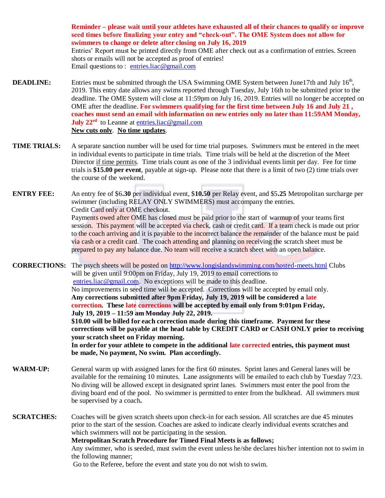**Reminder – please wait until your athletes have exhausted all of their chances to qualify or improve seed times before finalizing your entry and "check-out". The OME System does not allow for swimmers to change or delete after closing on July 16, 2019** Entries' Report must be printed directly from OME after check out as a confirmation of entries. Screen shots or emails will not be accepted as proof of entries! Email questions to : [entries.liac@gmail.com](mailto:entries.liac@gmail.com)

- **DEADLINE:** Entries must be submitted through the USA Swimming OME System between June17th and July 16<sup>th</sup>, 2019. This entry date allows any swims reported through Tuesday, July 16th to be submitted prior to the deadline. The OME System will close at 11:59pm on July 16, 2019. Entries will no longer be accepted on OME after the deadline. **For swimmers qualifying for the first time between July 16 and July 21 , coaches must send an email with information on new entries only no later than 11:59AM Monday, July 22<sup>rd</sup>** to Leanne at **entries.liac@gmail.com New cuts only**. **No time updates**.
- **TIME TRIALS:** A separate sanction number will be used for time trial purposes. Swimmers must be entered in the meet in individual events to participate in time trials. Time trials will be held at the discretion of the Meet Director if time permits. Time trials count as one of the 3 individual events limit per day. Fee for time trials is **\$15.00 per event**, payable at sign-up. Please note that there is a limit of two (2) time trials over the course of the weekend.
- **ENTRY FEE:** An entry fee of \$6**.30** per individual event, \$**10.50** per Relay event, and \$5**.25** Metropolitan surcharge per swimmer (including RELAY ONLY SWIMMERS) must accompany the entries. Credit Card only at OME checkout. Payments owed after OME has closed must be paid prior to the start of warmup of your teams first session. This payment will be accepted via check, cash or credit card. If a team check is made out prior to the coach arriving and it is payable to the incorrect balance the remainder of the balance must be paid via cash or a credit card. The coach attending and planning on receiving the scratch sheet must be prepared to pay any balance due. No team will receive a scratch sheet with an open balance.

**CORRECTIONS:** The psych sheets will be posted on<http://www.longislandswimming.com/hosted-meets.html> Clubs will be given until 9:00pm on Friday, July 19, 2019 to email corrections to [entries.liac@gmail.com.](mailto:entries.liac@gmail.com) No exceptions will be made to this deadline. No improvements in seed time will be accepted. Corrections will be accepted by email only. **Any corrections submitted after 9pm Friday, July 19, 2019 will be considered a late correction. These late corrections will be accepted by email only from 9:01pm Friday, July 19, 2019 – 11:59 am Monday July 22, 2019. \$10.00 will be billed for each correction made during this timeframe. Payment for these corrections will be payable at the head table by CREDIT CARD or CASH ONLY prior to receiving your scratch sheet on Friday morning. In order for your athlete to compete in the additional late corrected entries, this payment must be made, No payment, No swim. Plan accordingly.**

- **WARM-UP:** General warm up with assigned lanes for the first 60 minutes. Sprint lanes and General lanes will be available for the remaining 10 minutes. Lane assignments will be emailed to each club by Tuesday 7/23. No diving will be allowed except in designated sprint lanes. Swimmers must enter the pool from the diving board end of the pool. No swimmer is permitted to enter from the bulkhead. All swimmers must be supervised by a coach**.**
- **SCRATCHES:** Coaches will be given scratch sheets upon check-in for each session. All scratches are due 45 minutes prior to the start of the session. Coaches are asked to indicate clearly individual events scratches and which swimmers will not be participating in the session.

**Metropolitan Scratch Procedure for Timed Final Meets is as follows;** 

Any swimmer, who is seeded, must swim the event unless he/she declares his/her intention not to swim in the following manner;

Go to the Referee, before the event and state you do not wish to swim.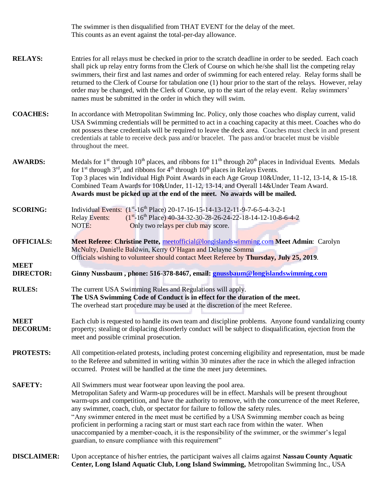The swimmer is then disqualified from THAT EVENT for the delay of the meet. This counts as an event against the total-per-day allowance.

- **RELAYS:** Entries for all relays must be checked in prior to the scratch deadline in order to be seeded. Each coach shall pick up relay entry forms from the Clerk of Course on which he/she shall list the competing relay swimmers, their first and last names and order of swimming for each entered relay. Relay forms shall be returned to the Clerk of Course for tabulation one (1) hour prior to the start of the relays. However, relay order may be changed, with the Clerk of Course, up to the start of the relay event. Relay swimmers' names must be submitted in the order in which they will swim.
- **COACHES:** In accordance with Metropolitan Swimming Inc. Policy, only those coaches who display current, valid USA Swimming credentials will be permitted to act in a coaching capacity at this meet. Coaches who do not possess these credentials will be required to leave the deck area. Coaches must check in and present credentials at table to receive deck pass and/or bracelet. The pass and/or bracelet must be visible throughout the meet.
- **AWARDS:** Medals for  $1<sup>st</sup>$  through  $10<sup>th</sup>$  places, and ribbons for  $11<sup>th</sup>$  through  $20<sup>th</sup>$  places in Individual Events. Medals for 1<sup>st</sup> through 3<sup>rd</sup>, and ribbons for  $4<sup>th</sup>$  through 10<sup>th</sup> places in Relays Events. Top 3 places win Individual High Point Awards in each Age Group 10&Under, 11-12, 13-14, & 15-18. Combined Team Awards for 10&Under, 11-12, 13-14, and Overall 14&Under Team Award. **Awards must be picked up at the end of the meet. No awards will be mailed.**
- **SCORING:** Individual Events: (1<sup>st</sup>-16<sup>th</sup> Place) 20-17-16-15-14-13-12-11-9-7-6-5-4-3-2-1 **Relay Events:**  $(1<sup>st</sup>-16<sup>th</sup>$  Place) 40-34-32-30-28-26-24-22-18-14-12-10-8-6-4-2 NOTE: Only two relays per club may score.
- **OFFICIALS: Meet Referee**: **Christine Pette,** [meetofficial@longislandswim](mailto:richbrown4@verizon.net)ming.com **Meet Admin**: Carolyn McNulty, Danielle Baldwin, Kerry O'Hagan and Delayne Somma Officials wishing to volunteer should contact Meet Referee by **Thursday, July 25, 2019**.
- **DIRECTOR: Ginny Nussbaum , phone: 516-378-8467, email: [gnussbaum@longislandswimming.com](mailto:gnussbaum@longislandswimming.com)**
- **RULES:** The current USA Swimming Rules and Regulations will apply. **The USA Swimming Code of Conduct is in effect for the duration of the meet.** The overhead start procedure may be used at the discretion of the meet Referee.

**MEET** 

- **MEET DECORUM:** Each club is requested to handle its own team and discipline problems. Anyone found vandalizing county property; stealing or displacing disorderly conduct will be subject to disqualification, ejection from the meet and possible criminal prosecution.
- **PROTESTS:** All competition-related protests, including protest concerning eligibility and representation, must be made to the Referee and submitted in writing within 30 minutes after the race in which the alleged infraction occurred. Protest will be handled at the time the meet jury determines.
- **SAFETY:** All Swimmers must wear footwear upon leaving the pool area. Metropolitan Safety and Warm-up procedures will be in effect. Marshals will be present throughout warm-ups and competition, and have the authority to remove, with the concurrence of the meet Referee, any swimmer, coach, club, or spectator for failure to follow the safety rules. "Any swimmer entered in the meet must be certified by a USA Swimming member coach as being proficient in performing a racing start or must start each race from within the water. When unaccompanied by a member-coach, it is the responsibility of the swimmer, or the swimmer's legal guardian, to ensure compliance with this requirement"
- **DISCLAIMER:** Upon acceptance of his/her entries, the participant waives all claims against **Nassau County Aquatic Center, Long Island Aquatic Club, Long Island Swimming,** Metropolitan Swimming Inc., USA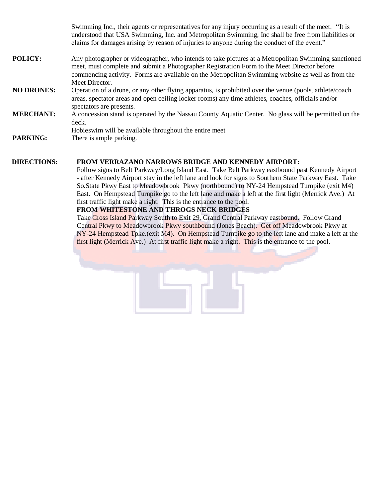Swimming Inc., their agents or representatives for any injury occurring as a result of the meet. "It is understood that USA Swimming, Inc. and Metropolitan Swimming, Inc shall be free from liabilities or claims for damages arising by reason of injuries to anyone during the conduct of the event."

- **POLICY:** Any photographer or videographer, who intends to take pictures at a Metropolitan Swimming sanctioned meet, must complete and submit a Photographer Registration Form to the Meet Director before commencing activity. Forms are available on the Metropolitan Swimming website as well as from the Meet Director.
- **NO DRONES:** Operation of a drone, or any other flying apparatus, is prohibited over the venue (pools, athlete/coach areas, spectator areas and open ceiling locker rooms) any time athletes, coaches, officials and/or spectators are presents.
- **MERCHANT:** A concession stand is operated by the Nassau County Aquatic Center. No glass will be permitted on the deck.

Hobieswim will be available throughout the entire meet

**PARKING:** There is ample parking.

#### **DIRECTIONS: FROM VERRAZANO NARROWS BRIDGE AND KENNEDY AIRPORT:**

Follow signs to Belt Parkway/Long Island East. Take Belt Parkway eastbound past Kennedy Airport - after Kennedy Airport stay in the left lane and look for signs to Southern State Parkway East. Take So.State Pkwy East to Meadowbrook Pkwy (northbound) to NY-24 Hempstead Turnpike (exit M4) East. On Hempstead Turnpike go to the left lane and make a left at the first light (Merrick Ave.) At first traffic light make a right. This is the entrance to the pool.

#### **FROM WHITESTONE AND THROGS NECK BRIDGES**

Take Cross Island Parkway South to Exit 29, Grand Central Parkway eastbound. Follow Grand Central Pkwy to Meadowbrook Pkwy southbound (Jones Beach). Get off Meadowbrook Pkwy at NY-24 Hempstead Tpke.(exit M4). On Hempstead Turnpike go to the left lane and make a left at the first light (Merrick Ave.) At first traffic light make a right. This is the entrance to the pool.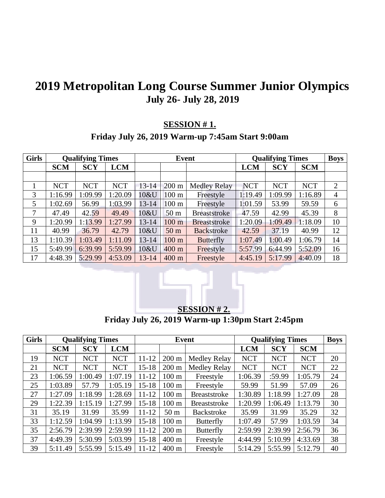# **Metropolitan Long Course Summer Junior Olympics July 26- July 28, 2019**

### **SESSION # 1.**

## **Friday July 26, 2019 Warm-up 7:45am Start 9:00am**

| <b>Girls</b> |            | <b>Qualifying Times</b> |            |           | Event            |                     | <b>Qualifying Times</b> |            |            | <b>Boys</b>    |
|--------------|------------|-------------------------|------------|-----------|------------------|---------------------|-------------------------|------------|------------|----------------|
|              | <b>SCM</b> | <b>SCY</b>              | <b>LCM</b> |           |                  |                     | <b>LCM</b>              | <b>SCY</b> | <b>SCM</b> |                |
|              |            |                         |            |           |                  |                     |                         |            |            |                |
|              | <b>NCT</b> | <b>NCT</b>              | <b>NCT</b> | $13 - 14$ | $200 \text{ m}$  | <b>Medley Relay</b> | <b>NCT</b>              | <b>NCT</b> | <b>NCT</b> | $\overline{2}$ |
| 3            | 1:16.99    | 1:09.99                 | 1:20.09    | 10&U      | 100 <sub>m</sub> | Freestyle           | 1:19.49                 | 1:09.99    | 1:16.89    | 4              |
| 5            | 1:02.69    | 56.99                   | 1:03.99    | $13 - 14$ | 100 <sub>m</sub> | Freestyle           | 1:01.59                 | 53.99      | 59.59      | 6              |
| 7            | 47.49      | 42.59                   | 49.49      | 10&U      | 50 <sub>m</sub>  | <b>Breaststroke</b> | 47.59                   | 42.99      | 45.39      | 8              |
| 9            | 1:20.99    | 1:13.99                 | 1:27.99    | $13 - 14$ | 100 <sub>m</sub> | <b>Breaststroke</b> | 1:20.09                 | 1:09.49    | 1:18.09    | 10             |
| 11           | 40.99      | 36.79                   | 42.79      | 10&U      | 50 <sub>m</sub>  | <b>Backstroke</b>   | 42.59                   | 37.19      | 40.99      | 12             |
| 13           | 1:10.39    | 1:03.49                 | 1:11.09    | $13 - 14$ | 100 <sub>m</sub> | <b>Butterfly</b>    | 1:07.49                 | 1:00.49    | 1:06.79    | 14             |
| 15           | 5:49.99    | 6:39.99                 | 5:59.99    | 10&U      | $400 \text{ m}$  | Freestyle           | 5:57.99                 | 6:44.99    | 5:52.09    | 16             |
| 17           | 4:48.39    | 5:29.99                 | 4:53.09    | $13 - 14$ | 400 m            | Freestyle           | 4:45.19                 | 5:17.99    | 4:40.09    | 18             |



**Friday July 26, 2019 Warm-up 1:30pm Start 2:45pm**

| <b>Girls</b> | <b>Qualifying Times</b> |            |            |           | Event            |                     |            | <b>Qualifying Times</b> |            |    |  |
|--------------|-------------------------|------------|------------|-----------|------------------|---------------------|------------|-------------------------|------------|----|--|
|              | <b>SCM</b>              | <b>SCY</b> | <b>LCM</b> |           |                  |                     | <b>LCM</b> | <b>SCY</b>              | <b>SCM</b> |    |  |
| 19           | <b>NCT</b>              | <b>NCT</b> | <b>NCT</b> | $11 - 12$ | $200 \text{ m}$  | Medley Relay        | <b>NCT</b> | <b>NCT</b>              | <b>NCT</b> | 20 |  |
| 21           | <b>NCT</b>              | <b>NCT</b> | <b>NCT</b> | $15 - 18$ | $200 \text{ m}$  | Medley Relay        | <b>NCT</b> | <b>NCT</b>              | <b>NCT</b> | 22 |  |
| 23           | 1:06.59                 | 1:00.49    | 1:07.19    | $11 - 12$ | $100 \text{ m}$  | Freestyle           | 1:06.39    | :59.99                  | 1:05.79    | 24 |  |
| 25           | 1:03.89                 | 57.79      | 1:05.19    | $15 - 18$ | 100 <sub>m</sub> | Freestyle           | 59.99      | 51.99                   | 57.09      | 26 |  |
| 27           | 1:27.09                 | 1:18.99    | 1:28.69    | $11 - 12$ | $100 \text{ m}$  | <b>Breaststroke</b> | 1:30.89    | 1:18.99                 | 1:27.09    | 28 |  |
| 29           | 1:22.39                 | 1:15.19    | 1:27.99    | $15 - 18$ | $100 \text{ m}$  | <b>Breaststroke</b> | 1:20.99    | 1:06.49                 | 1:13.79    | 30 |  |
| 31           | 35.19                   | 31.99      | 35.99      | $11 - 12$ | 50 <sub>m</sub>  | <b>Backstroke</b>   | 35.99      | 31.99                   | 35.29      | 32 |  |
| 33           | 1:12.59                 | 1:04.99    | 1:13.99    | $15-18$   | $100 \text{ m}$  | <b>Butterfly</b>    | 1:07.49    | 57.99                   | 1:03.59    | 34 |  |
| 35           | 2:56.79                 | 2:39.99    | 2:59.99    | $11 - 12$ | $200 \text{ m}$  | <b>Butterfly</b>    | 2:59.99    | 2:39.99                 | 2:56.79    | 36 |  |
| 37           | 4:49.39                 | 5:30.99    | 5:03.99    | $15 - 18$ | 400 m            | Freestyle           | 4:44.99    | 5:10.99                 | 4:33.69    | 38 |  |
| 39           | 5:11.49                 | 5:55.99    | 5:15.49    | $11 - 12$ | $400 \text{ m}$  | Freestyle           | 5:14.29    | 5:55.99                 | 5:12.79    | 40 |  |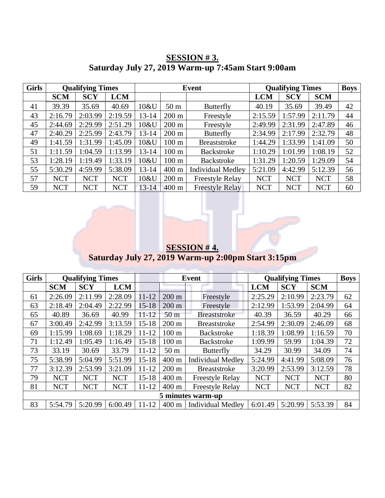| <b>Girls</b> | <b>Qualifying Times</b> |            |            | Event     |                 |                          | <b>Qualifying Times</b> | <b>Boys</b> |            |    |
|--------------|-------------------------|------------|------------|-----------|-----------------|--------------------------|-------------------------|-------------|------------|----|
|              | <b>SCM</b>              | <b>SCY</b> | <b>LCM</b> |           |                 |                          | <b>LCM</b>              | <b>SCY</b>  | <b>SCM</b> |    |
| 41           | 39.39                   | 35.69      | 40.69      | 10&U      | 50 <sub>m</sub> | <b>Butterfly</b>         | 40.19                   | 35.69       | 39.49      | 42 |
| 43           | 2:16.79                 | 2:03.99    | 2:19.59    | $13 - 14$ | $200 \text{ m}$ | Freestyle                | 2:15.59                 | 1:57.99     | 2:11.79    | 44 |
| 45           | 2:44.69                 | 2:29.99    | 2:51.29    | 10&U      | $200 \text{ m}$ | Freestyle                | 2:49.99                 | 2:31.99     | 2:47.89    | 46 |
| 47           | 2:40.29                 | 2:25.99    | 2:43.79    | $13 - 14$ | $200 \text{ m}$ | <b>Butterfly</b>         | 2:34.99                 | 2:17.99     | 2:32.79    | 48 |
| 49           | 1:41.59                 | 1:31.99    | 1:45.09    | 10&U      | $100 \text{ m}$ | <b>Breaststroke</b>      | 1:44.29                 | 1:33.99     | 1:41.09    | 50 |
| 51           | 1:11.59                 | 1:04.59    | 1:13.99    | $13 - 14$ | $100 \text{ m}$ | Backstroke               | 1:10.29                 | 1:01.99     | 1:08.19    | 52 |
| 53           | 1:28.19                 | 1:19.49    | 1:33.19    | 10&U      | $100 \text{ m}$ | Backstroke               | 1:31.29                 | 1:20.59     | 1:29.09    | 54 |
| 55           | 5:30.29                 | 4:59.99    | 5:38.09    | $13 - 14$ | 400 m           | <b>Individual Medley</b> | 5:21.09                 | 4:42.99     | 5:12.39    | 56 |
| 57           | <b>NCT</b>              | <b>NCT</b> | <b>NCT</b> | 10&U      | $200 \text{ m}$ | <b>Freestyle Relay</b>   | <b>NCT</b>              | <b>NCT</b>  | <b>NCT</b> | 58 |
| 59           | <b>NCT</b>              | <b>NCT</b> | <b>NCT</b> | $13 - 14$ | $400 \text{ m}$ | <b>Freestyle Relay</b>   | <b>NCT</b>              | <b>NCT</b>  | <b>NCT</b> | 60 |

### **SESSION # 3. Saturday July 27, 2019 Warm-up 7:45am Start 9:00am**

**SESSION # 4. Saturday July 27, 2019 Warm-up 2:00pm Start 3:15pm**

| <b>Girls</b> |            | <b>Qualifying Times</b> |            | Event     |                 |                          | <b>Qualifying Times</b> | <b>Boys</b> |            |    |
|--------------|------------|-------------------------|------------|-----------|-----------------|--------------------------|-------------------------|-------------|------------|----|
|              | <b>SCM</b> | <b>SCY</b>              | <b>LCM</b> |           |                 |                          | <b>LCM</b>              | <b>SCY</b>  | <b>SCM</b> |    |
| 61           | 2:26.09    | 2:11.99                 | 2:28.09    | $11 - 12$ | $200 \text{ m}$ | Freestyle                | 2:25.29                 | 2:10.99     | 2:23.79    | 62 |
| 63           | 2:18.49    | 2:04.49                 | 2:22.99    | $15 - 18$ | $200 \text{ m}$ | Freestyle                | 2:12.99                 | 1:53.99     | 2:04.99    | 64 |
| 65           | 40.89      | 36.69                   | 40.99      | $11 - 12$ | 50 <sub>m</sub> | <b>Breaststroke</b>      | 40.39                   | 36.59       | 40.29      | 66 |
| 67           | 3:00.49    | 2:42.99                 | 3:13.59    | $15 - 18$ | $200 \text{ m}$ | <b>Breaststroke</b>      | 2:54.99                 | 2:30.09     | 2:46.09    | 68 |
| 69           | 1:15.99    | 1:08.69                 | 1:18.29    | $11 - 12$ | $100 \text{ m}$ | <b>Backstroke</b>        | 1:18.39                 | 1:08.99     | 1:16.59    | 70 |
| 71           | 1:12.49    | 1:05.49                 | 1:16.49    | $15 - 18$ | $100 \text{ m}$ | <b>Backstroke</b>        | 1:09.99                 | 59.99       | 1:04.39    | 72 |
| 73           | 33.19      | 30.69                   | 33.79      | $11 - 12$ | 50 <sub>m</sub> | <b>Butterfly</b>         | 34.29                   | 30.99       | 34.09      | 74 |
| 75           | 5:38.99    | 5:04.99                 | 5:51.99    | $15 - 18$ | $400 \text{ m}$ | <b>Individual Medley</b> | 5:24.99                 | 4:41.99     | 5:08.09    | 76 |
| 77           | 3:12.39    | 2:53.99                 | 3:21.09    | $11 - 12$ | $200 \text{ m}$ | <b>Breaststroke</b>      | 3:20.99                 | 2:53.99     | 3:12.59    | 78 |
| 79           | <b>NCT</b> | <b>NCT</b>              | <b>NCT</b> | $15 - 18$ | $400 \text{ m}$ | <b>Freestyle Relay</b>   | <b>NCT</b>              | <b>NCT</b>  | <b>NCT</b> | 80 |
| 81           | <b>NCT</b> | <b>NCT</b>              | <b>NCT</b> | $11 - 12$ | $400 \text{ m}$ | <b>Freestyle Relay</b>   | <b>NCT</b>              | <b>NCT</b>  | <b>NCT</b> | 82 |
|              |            |                         |            |           |                 | 5 minutes warm-up        |                         |             |            |    |
| 83           | 5:54.79    | 5:20.99                 | 6:00.49    | $11 - 12$ | $400 \text{ m}$ | <b>Individual Medley</b> | 6:01.49                 | 5:20.99     | 5:53.39    | 84 |